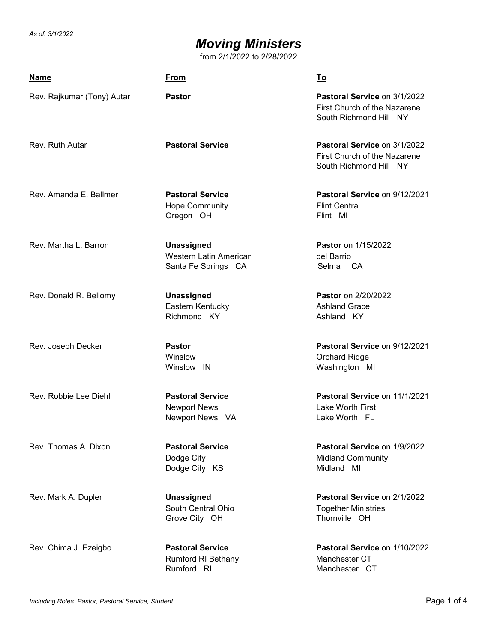# *Moving Ministers*

from 2/1/2022 to 2/28/2022

| <u>Name</u>                | <u>From</u>                                                       | <u>To</u>                                                                              |  |
|----------------------------|-------------------------------------------------------------------|----------------------------------------------------------------------------------------|--|
| Rev. Rajkumar (Tony) Autar | <b>Pastor</b>                                                     | Pastoral Service on 3/1/2022<br>First Church of the Nazarene<br>South Richmond Hill NY |  |
| Rev. Ruth Autar            | <b>Pastoral Service</b>                                           | Pastoral Service on 3/1/2022<br>First Church of the Nazarene<br>South Richmond Hill NY |  |
| Rev. Amanda E. Ballmer     | <b>Pastoral Service</b><br><b>Hope Community</b><br>Oregon OH     | Pastoral Service on 9/12/2021<br><b>Flint Central</b><br>Flint MI                      |  |
| Rev. Martha L. Barron      | Unassigned<br>Western Latin American<br>Santa Fe Springs CA       | Pastor on 1/15/2022<br>del Barrio<br>Selma CA                                          |  |
| Rev. Donald R. Bellomy     | Unassigned<br>Eastern Kentucky<br>Richmond KY                     | <b>Pastor</b> on 2/20/2022<br><b>Ashland Grace</b><br>Ashland KY                       |  |
| Rev. Joseph Decker         | <b>Pastor</b><br>Winslow<br>Winslow IN                            | Pastoral Service on 9/12/2021<br><b>Orchard Ridge</b><br>Washington MI                 |  |
| Rev. Robbie Lee Diehl      | <b>Pastoral Service</b><br><b>Newport News</b><br>Newport News VA | Pastoral Service on 11/1/2021<br>Lake Worth First<br>Lake Worth FL                     |  |
| Rev. Thomas A. Dixon       | <b>Pastoral Service</b><br>Dodge City<br>Dodge City KS            | Pastoral Service on 1/9/2022<br><b>Midland Community</b><br>Midland MI                 |  |
| Rev. Mark A. Dupler        | <b>Unassigned</b><br>South Central Ohio<br>Grove City OH          | Pastoral Service on 2/1/2022<br><b>Together Ministries</b><br>Thornville OH            |  |
| Rev. Chima J. Ezeigbo      | <b>Pastoral Service</b><br>Rumford RI Bethany<br>Rumford RI       | Pastoral Service on 1/10/2022<br>Manchester CT<br>Manchester CT                        |  |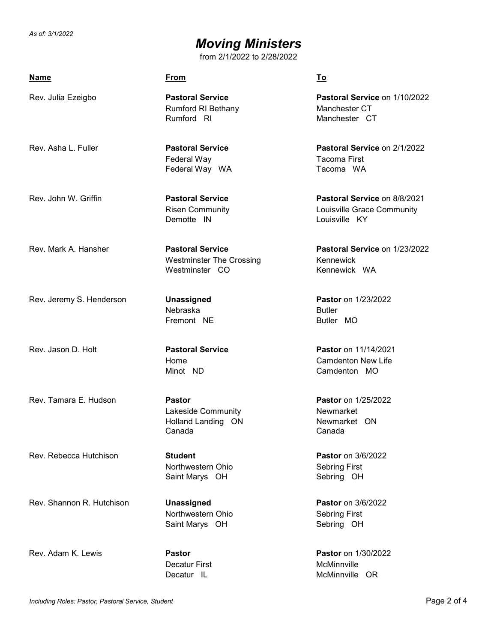### *Moving Ministers*

from 2/1/2022 to 2/28/2022

| <b>Name</b>              | <b>From</b>                                                                  | To                                                                |
|--------------------------|------------------------------------------------------------------------------|-------------------------------------------------------------------|
| Rev. Julia Ezeigbo       | <b>Pastoral Service</b><br><b>Rumford RI Bethany</b><br>Rumford RI           | Pastoral Service on<br>Manchester CT<br>Manchester CT             |
| Rev. Asha L. Fuller      | <b>Pastoral Service</b><br>Federal Way<br>Federal Way WA                     | Pastoral Service on 2<br>Tacoma First<br>Tacoma WA                |
| Rev. John W. Griffin     | <b>Pastoral Service</b><br><b>Risen Community</b><br>Demotte IN              | Pastoral Service on 8<br>Louisville Grace Comr<br>Louisville KY   |
| Rev. Mark A. Hansher     | <b>Pastoral Service</b><br><b>Westminster The Crossing</b><br>Westminster CO | Pastoral Service on<br>Kennewick<br>Kennewick WA                  |
| Rev. Jeremy S. Henderson | <b>Unassigned</b><br>Nebraska<br>Fremont NE                                  | <b>Pastor</b> on 1/23/2022<br><b>Butler</b><br>Butler MO          |
| Rev. Jason D. Holt       | <b>Pastoral Service</b><br>Home<br>Minot ND                                  | Pastor on 11/14/2021<br><b>Camdenton New Life</b><br>Camdenton MO |

Rev. Tamara E. Hudson **Pastor Pastor** on 1/25/2022

Rev. Rebecca Hutchison **Student Pastor** on 3/6/2022

Northwestern Ohio Sebring First

Rev. Shannon R. Hutchison **Unassigned Pastor** on 3/6/2022

Northwestern Ohio Sebring First Saint Marys OH Sebring OH

Decatur First McMinnville

Rev. Julia Ezeigbo **Pastoral Service Pastoral Service** on 1/10/2022

Rev. Asha L. Fuller **Pastoral Service Pastoral Service** on 2/1/2022

Rev. John W. Griffin **Pastoral Service Pastoral Service** on 8/8/2021 **B** Community

Rev. Mark A. Hansher **Pastoral Service Pastoral Service** on 1/23/2022

Lakeside Community **Newmarket** Holland Landing ON Newmarket ON Canada Canada

Saint Marys OH Sebring OH

Rev. Adam K. Lewis **Pastor Pastor** on 1/30/2022 Decatur IL McMinnville OR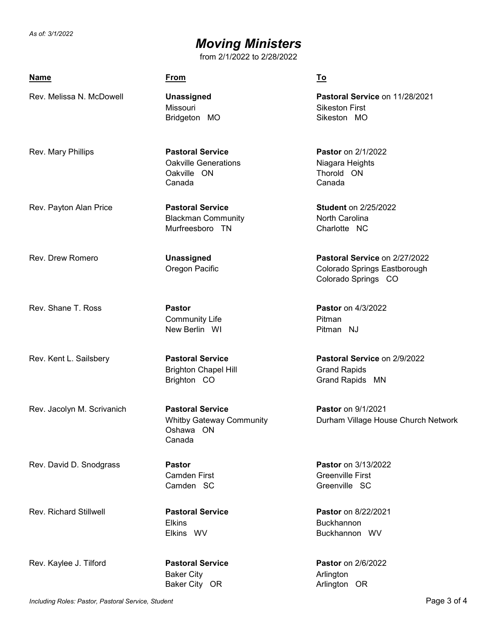# *Moving Ministers*

from 2/1/2022 to 2/28/2022

| <b>Name</b>                | <b>From</b>                                                                       | <u>To</u>                                                                            |
|----------------------------|-----------------------------------------------------------------------------------|--------------------------------------------------------------------------------------|
| Rev. Melissa N. McDowell   | <b>Unassigned</b><br>Missouri<br>Bridgeton MO                                     | Pastoral Service on 11/28/2021<br><b>Sikeston First</b><br>Sikeston MO               |
| Rev. Mary Phillips         | <b>Pastoral Service</b><br><b>Oakville Generations</b><br>Oakville ON<br>Canada   | <b>Pastor</b> on 2/1/2022<br>Niagara Heights<br>Thorold ON<br>Canada                 |
| Rev. Payton Alan Price     | <b>Pastoral Service</b><br><b>Blackman Community</b><br>Murfreesboro TN           | <b>Student on 2/25/2022</b><br>North Carolina<br>Charlotte NC                        |
| Rev. Drew Romero           | Unassigned<br>Oregon Pacific                                                      | Pastoral Service on 2/27/2022<br>Colorado Springs Eastborough<br>Colorado Springs CO |
| Rev. Shane T. Ross         | <b>Pastor</b><br><b>Community Life</b><br>New Berlin WI                           | <b>Pastor</b> on 4/3/2022<br>Pitman<br>Pitman NJ                                     |
| Rev. Kent L. Sailsbery     | <b>Pastoral Service</b><br><b>Brighton Chapel Hill</b><br>Brighton CO             | Pastoral Service on 2/9/2022<br><b>Grand Rapids</b><br>Grand Rapids MN               |
| Rev. Jacolyn M. Scrivanich | <b>Pastoral Service</b><br><b>Whitby Gateway Community</b><br>Oshawa ON<br>Canada | Pastor on 9/1/2021<br>Durham Village House Church Network                            |
| Rev. David D. Snodgrass    | <b>Pastor</b><br><b>Camden First</b><br>Camden SC                                 | Pastor on 3/13/2022<br><b>Greenville First</b><br>Greenville SC                      |

Rev. Richard Stillwell **Pastoral Service Pastor** on 8/22/2021

Elkins WV Elkins Buckhannon<br>Elkins WV Buckhannon

Rev. Kaylee J. Tilford **Pastoral Service Pastor** on 2/6/2022

Baker City **Arlington** Baker City OR Arlington OR

Buckhannon WV